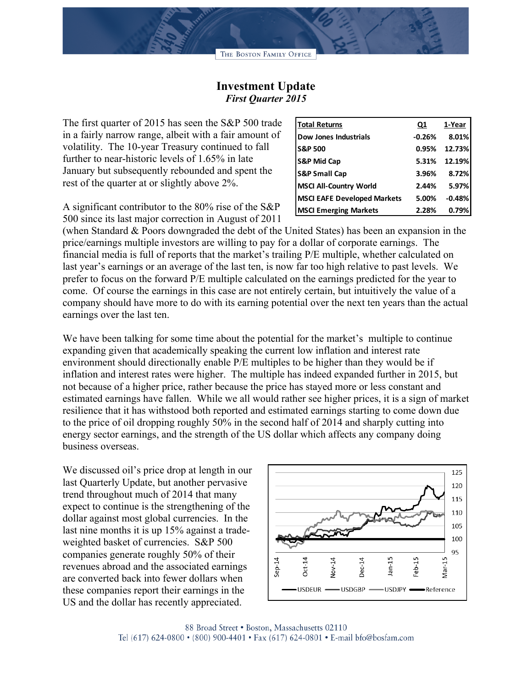THE BOSTON FAMILY OFFICE

## **Investment Update** *First Quarter 2015*

The first quarter of 2015 has seen the S&P 500 trade in a fairly narrow range, albeit with a fair amount of volatility. The 10-year Treasury continued to fall further to near-historic levels of 1.65% in late January but subsequently rebounded and spent the rest of the quarter at or slightly above 2%.

A significant contributor to the 80% rise of the S&P 500 since its last major correction in August of 2011

(when Standard & Poors downgraded the debt of the United States) has been an expansion in the price/earnings multiple investors are willing to pay for a dollar of corporate earnings. The financial media is full of reports that the market's trailing P/E multiple, whether calculated on last year's earnings or an average of the last ten, is now far too high relative to past levels. We prefer to focus on the forward P/E multiple calculated on the earnings predicted for the year to come. Of course the earnings in this case are not entirely certain, but intuitively the value of a company should have more to do with its earning potential over the next ten years than the actual earnings over the last ten.

We have been talking for some time about the potential for the market's multiple to continue expanding given that academically speaking the current low inflation and interest rate environment should directionally enable P/E multiples to be higher than they would be if inflation and interest rates were higher. The multiple has indeed expanded further in 2015, but not because of a higher price, rather because the price has stayed more or less constant and estimated earnings have fallen. While we all would rather see higher prices, it is a sign of market resilience that it has withstood both reported and estimated earnings starting to come down due to the price of oil dropping roughly 50% in the second half of 2014 and sharply cutting into energy sector earnings, and the strength of the US dollar which affects any company doing business overseas.

We discussed oil's price drop at length in our last Quarterly Update, but another pervasive trend throughout much of 2014 that many expect to continue is the strengthening of the dollar against most global currencies. In the last nine months it is up 15% against a tradeweighted basket of currencies. S&P 500 companies generate roughly 50% of their revenues abroad and the associated earnings are converted back into fewer dollars when these companies report their earnings in the US and the dollar has recently appreciated.



| <b>Total Returns</b>               | Q1       | 1-Year   |
|------------------------------------|----------|----------|
| Dow Jones Industrials              | $-0.26%$ | 8.01%    |
| <b>S&amp;P 500</b>                 | 0.95%    | 12.73%   |
| <b>S&amp;P Mid Cap</b>             | 5.31%    | 12.19%   |
| <b>S&amp;P Small Cap</b>           | 3.96%    | 8.72%    |
| <b>MSCI All-Country World</b>      | 2.44%    | 5.97%    |
| <b>MSCI EAFE Developed Markets</b> | 5.00%    | $-0.48%$ |
| <b>MSCI Emerging Markets</b>       | 2.28%    | 0.79%    |